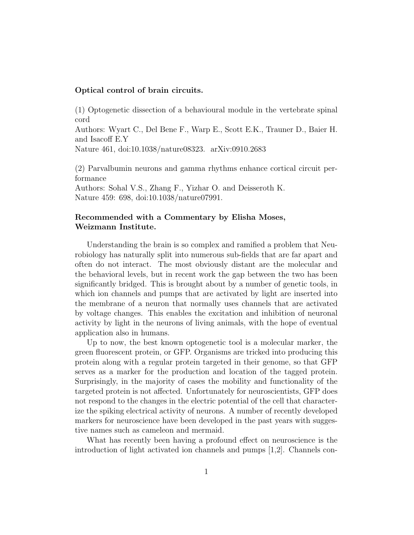## Optical control of brain circuits.

(1) Optogenetic dissection of a behavioural module in the vertebrate spinal cord

Authors: Wyart C., Del Bene F., Warp E., Scott E.K., Trauner D., Baier H. and Isacoff E.Y

Nature 461, doi:10.1038/nature08323. arXiv:0910.2683

(2) Parvalbumin neurons and gamma rhythms enhance cortical circuit performance

Authors: Sohal V.S., Zhang F., Yizhar O. and Deisseroth K. Nature 459: 698, doi:10.1038/nature07991.

## Recommended with a Commentary by Elisha Moses, Weizmann Institute.

Understanding the brain is so complex and ramified a problem that Neurobiology has naturally split into numerous sub-fields that are far apart and often do not interact. The most obviously distant are the molecular and the behavioral levels, but in recent work the gap between the two has been significantly bridged. This is brought about by a number of genetic tools, in which ion channels and pumps that are activated by light are inserted into the membrane of a neuron that normally uses channels that are activated by voltage changes. This enables the excitation and inhibition of neuronal activity by light in the neurons of living animals, with the hope of eventual application also in humans.

Up to now, the best known optogenetic tool is a molecular marker, the green fluorescent protein, or GFP. Organisms are tricked into producing this protein along with a regular protein targeted in their genome, so that GFP serves as a marker for the production and location of the tagged protein. Surprisingly, in the majority of cases the mobility and functionality of the targeted protein is not affected. Unfortunately for neuroscientists, GFP does not respond to the changes in the electric potential of the cell that characterize the spiking electrical activity of neurons. A number of recently developed markers for neuroscience have been developed in the past years with suggestive names such as cameleon and mermaid.

What has recently been having a profound effect on neuroscience is the introduction of light activated ion channels and pumps [1,2]. Channels con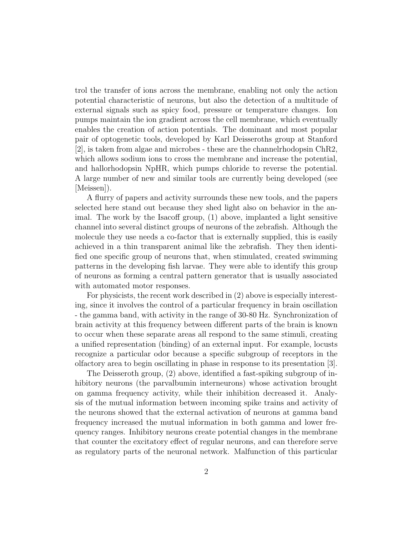trol the transfer of ions across the membrane, enabling not only the action potential characteristic of neurons, but also the detection of a multitude of external signals such as spicy food, pressure or temperature changes. Ion pumps maintain the ion gradient across the cell membrane, which eventually enables the creation of action potentials. The dominant and most popular pair of optogenetic tools, developed by Karl Deisseroths group at Stanford [2], is taken from algae and microbes - these are the channelrhodopsin ChR2, which allows sodium ions to cross the membrane and increase the potential, and hallorhodopsin NpHR, which pumps chloride to reverse the potential. A large number of new and similar tools are currently being developed (see [Meissen]).

A flurry of papers and activity surrounds these new tools, and the papers selected here stand out because they shed light also on behavior in the animal. The work by the Isacoff group, (1) above, implanted a light sensitive channel into several distinct groups of neurons of the zebrafish. Although the molecule they use needs a co-factor that is externally supplied, this is easily achieved in a thin transparent animal like the zebrafish. They then identified one specific group of neurons that, when stimulated, created swimming patterns in the developing fish larvae. They were able to identify this group of neurons as forming a central pattern generator that is usually associated with automated motor responses.

For physicists, the recent work described in (2) above is especially interesting, since it involves the control of a particular frequency in brain oscillation - the gamma band, with activity in the range of 30-80 Hz. Synchronization of brain activity at this frequency between different parts of the brain is known to occur when these separate areas all respond to the same stimuli, creating a unified representation (binding) of an external input. For example, locusts recognize a particular odor because a specific subgroup of receptors in the olfactory area to begin oscillating in phase in response to its presentation [3].

The Deisseroth group, (2) above, identified a fast-spiking subgroup of inhibitory neurons (the parvalbumin interneurons) whose activation brought on gamma frequency activity, while their inhibition decreased it. Analysis of the mutual information between incoming spike trains and activity of the neurons showed that the external activation of neurons at gamma band frequency increased the mutual information in both gamma and lower frequency ranges. Inhibitory neurons create potential changes in the membrane that counter the excitatory effect of regular neurons, and can therefore serve as regulatory parts of the neuronal network. Malfunction of this particular